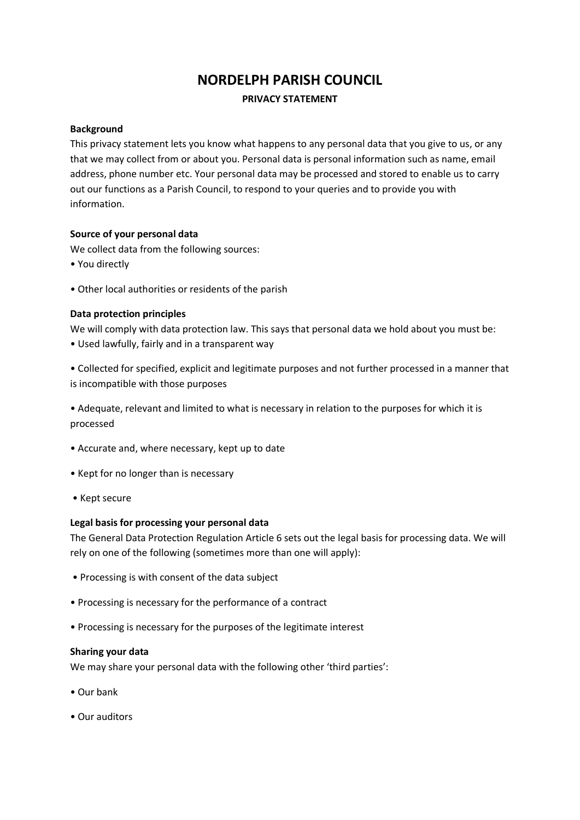# **NORDELPH PARISH COUNCIL**

## **PRIVACY STATEMENT**

#### **Background**

This privacy statement lets you know what happens to any personal data that you give to us, or any that we may collect from or about you. Personal data is personal information such as name, email address, phone number etc. Your personal data may be processed and stored to enable us to carry out our functions as a Parish Council, to respond to your queries and to provide you with information.

## **Source of your personal data**

We collect data from the following sources:

- You directly
- Other local authorities or residents of the parish

## **Data protection principles**

We will comply with data protection law. This says that personal data we hold about you must be:

• Used lawfully, fairly and in a transparent way

• Collected for specified, explicit and legitimate purposes and not further processed in a manner that is incompatible with those purposes

• Adequate, relevant and limited to what is necessary in relation to the purposes for which it is processed

- Accurate and, where necessary, kept up to date
- Kept for no longer than is necessary
- Kept secure

#### **Legal basis for processing your personal data**

The General Data Protection Regulation Article 6 sets out the legal basis for processing data. We will rely on one of the following (sometimes more than one will apply):

- Processing is with consent of the data subject
- Processing is necessary for the performance of a contract
- Processing is necessary for the purposes of the legitimate interest

#### **Sharing your data**

We may share your personal data with the following other 'third parties':

- Our bank
- Our auditors